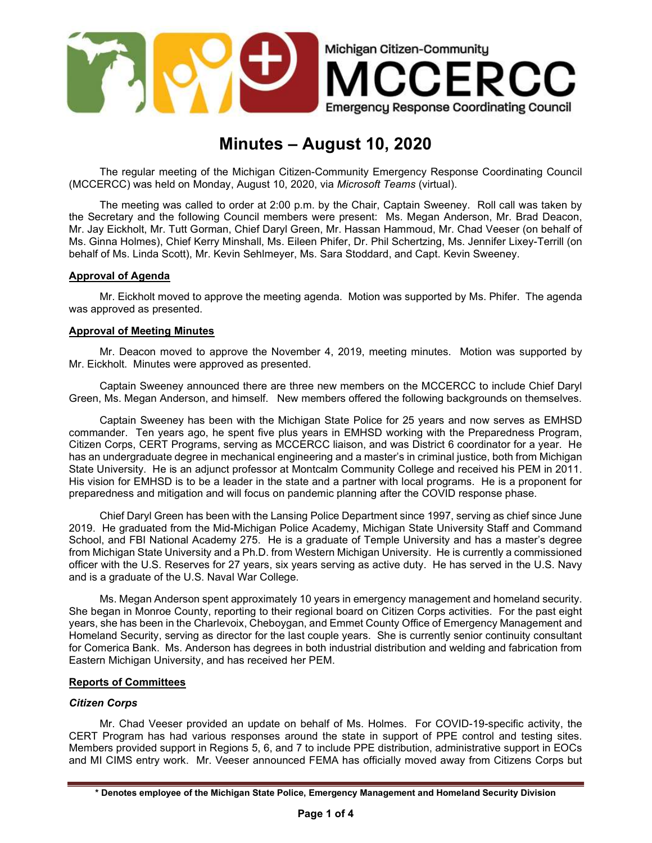

# Minutes – August 10, 2020

The regular meeting of the Michigan Citizen-Community Emergency Response Coordinating Council (MCCERCC) was held on Monday, August 10, 2020, via Microsoft Teams (virtual).

The meeting was called to order at 2:00 p.m. by the Chair, Captain Sweeney. Roll call was taken by the Secretary and the following Council members were present: Ms. Megan Anderson, Mr. Brad Deacon, Mr. Jay Eickholt, Mr. Tutt Gorman, Chief Daryl Green, Mr. Hassan Hammoud, Mr. Chad Veeser (on behalf of Ms. Ginna Holmes), Chief Kerry Minshall, Ms. Eileen Phifer, Dr. Phil Schertzing, Ms. Jennifer Lixey-Terrill (on behalf of Ms. Linda Scott), Mr. Kevin Sehlmeyer, Ms. Sara Stoddard, and Capt. Kevin Sweeney.

# Approval of Agenda

Mr. Eickholt moved to approve the meeting agenda. Motion was supported by Ms. Phifer. The agenda was approved as presented.

## Approval of Meeting Minutes

Mr. Deacon moved to approve the November 4, 2019, meeting minutes. Motion was supported by Mr. Eickholt. Minutes were approved as presented.

Captain Sweeney announced there are three new members on the MCCERCC to include Chief Daryl Green, Ms. Megan Anderson, and himself. New members offered the following backgrounds on themselves.

Captain Sweeney has been with the Michigan State Police for 25 years and now serves as EMHSD commander. Ten years ago, he spent five plus years in EMHSD working with the Preparedness Program, Citizen Corps, CERT Programs, serving as MCCERCC liaison, and was District 6 coordinator for a year. He has an undergraduate degree in mechanical engineering and a master's in criminal justice, both from Michigan State University. He is an adjunct professor at Montcalm Community College and received his PEM in 2011. His vision for EMHSD is to be a leader in the state and a partner with local programs. He is a proponent for preparedness and mitigation and will focus on pandemic planning after the COVID response phase.

Chief Daryl Green has been with the Lansing Police Department since 1997, serving as chief since June 2019. He graduated from the Mid-Michigan Police Academy, Michigan State University Staff and Command School, and FBI National Academy 275. He is a graduate of Temple University and has a master's degree from Michigan State University and a Ph.D. from Western Michigan University. He is currently a commissioned officer with the U.S. Reserves for 27 years, six years serving as active duty. He has served in the U.S. Navy and is a graduate of the U.S. Naval War College.

Ms. Megan Anderson spent approximately 10 years in emergency management and homeland security. She began in Monroe County, reporting to their regional board on Citizen Corps activities. For the past eight years, she has been in the Charlevoix, Cheboygan, and Emmet County Office of Emergency Management and Homeland Security, serving as director for the last couple years. She is currently senior continuity consultant for Comerica Bank. Ms. Anderson has degrees in both industrial distribution and welding and fabrication from Eastern Michigan University, and has received her PEM.

# Reports of Committees

#### Citizen Corps

Mr. Chad Veeser provided an update on behalf of Ms. Holmes. For COVID-19-specific activity, the CERT Program has had various responses around the state in support of PPE control and testing sites. Members provided support in Regions 5, 6, and 7 to include PPE distribution, administrative support in EOCs and MI CIMS entry work. Mr. Veeser announced FEMA has officially moved away from Citizens Corps but

<sup>\*</sup> Denotes employee of the Michigan State Police, Emergency Management and Homeland Security Division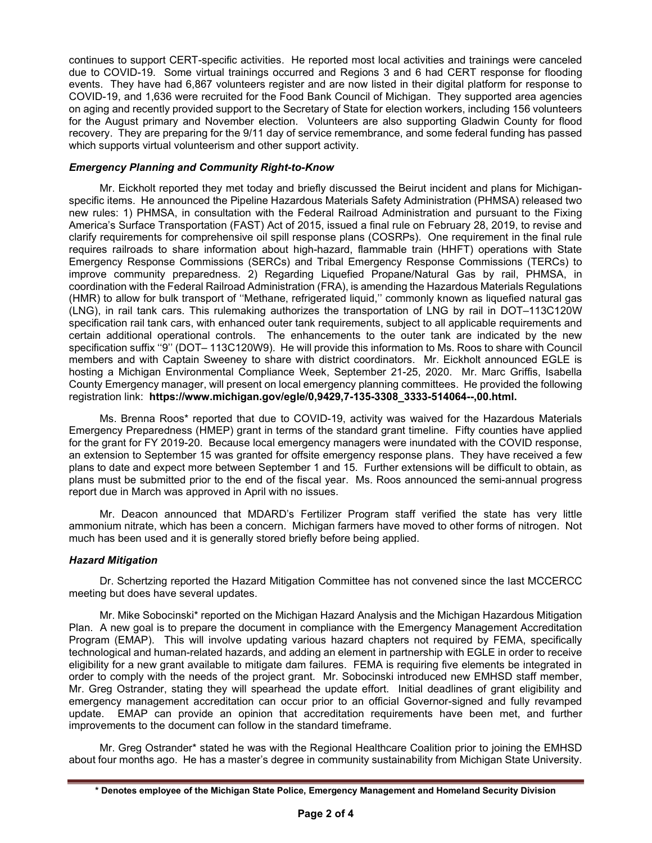continues to support CERT-specific activities. He reported most local activities and trainings were canceled due to COVID-19. Some virtual trainings occurred and Regions 3 and 6 had CERT response for flooding events. They have had 6,867 volunteers register and are now listed in their digital platform for response to COVID-19, and 1,636 were recruited for the Food Bank Council of Michigan. They supported area agencies on aging and recently provided support to the Secretary of State for election workers, including 156 volunteers for the August primary and November election. Volunteers are also supporting Gladwin County for flood recovery. They are preparing for the 9/11 day of service remembrance, and some federal funding has passed which supports virtual volunteerism and other support activity.

## Emergency Planning and Community Right-to-Know

Mr. Eickholt reported they met today and briefly discussed the Beirut incident and plans for Michiganspecific items. He announced the Pipeline Hazardous Materials Safety Administration (PHMSA) released two new rules: 1) PHMSA, in consultation with the Federal Railroad Administration and pursuant to the Fixing America's Surface Transportation (FAST) Act of 2015, issued a final rule on February 28, 2019, to revise and clarify requirements for comprehensive oil spill response plans (COSRPs). One requirement in the final rule requires railroads to share information about high-hazard, flammable train (HHFT) operations with State Emergency Response Commissions (SERCs) and Tribal Emergency Response Commissions (TERCs) to improve community preparedness. 2) Regarding Liquefied Propane/Natural Gas by rail, PHMSA, in coordination with the Federal Railroad Administration (FRA), is amending the Hazardous Materials Regulations (HMR) to allow for bulk transport of ''Methane, refrigerated liquid,'' commonly known as liquefied natural gas (LNG), in rail tank cars. This rulemaking authorizes the transportation of LNG by rail in DOT–113C120W specification rail tank cars, with enhanced outer tank requirements, subject to all applicable requirements and certain additional operational controls. The enhancements to the outer tank are indicated by the new specification suffix "9" (DOT- 113C120W9). He will provide this information to Ms. Roos to share with Council members and with Captain Sweeney to share with district coordinators. Mr. Eickholt announced EGLE is hosting a Michigan Environmental Compliance Week, September 21-25, 2020. Mr. Marc Griffis, Isabella County Emergency manager, will present on local emergency planning committees. He provided the following registration link: https://www.michigan.gov/egle/0,9429,7-135-3308\_3333-514064--,00.html.

Ms. Brenna Roos\* reported that due to COVID-19, activity was waived for the Hazardous Materials Emergency Preparedness (HMEP) grant in terms of the standard grant timeline. Fifty counties have applied for the grant for FY 2019-20. Because local emergency managers were inundated with the COVID response, an extension to September 15 was granted for offsite emergency response plans. They have received a few plans to date and expect more between September 1 and 15. Further extensions will be difficult to obtain, as plans must be submitted prior to the end of the fiscal year. Ms. Roos announced the semi-annual progress report due in March was approved in April with no issues.

Mr. Deacon announced that MDARD's Fertilizer Program staff verified the state has very little ammonium nitrate, which has been a concern. Michigan farmers have moved to other forms of nitrogen. Not much has been used and it is generally stored briefly before being applied.

# Hazard Mitigation

Dr. Schertzing reported the Hazard Mitigation Committee has not convened since the last MCCERCC meeting but does have several updates.

Mr. Mike Sobocinski\* reported on the Michigan Hazard Analysis and the Michigan Hazardous Mitigation Plan. A new goal is to prepare the document in compliance with the Emergency Management Accreditation Program (EMAP). This will involve updating various hazard chapters not required by FEMA, specifically technological and human-related hazards, and adding an element in partnership with EGLE in order to receive eligibility for a new grant available to mitigate dam failures. FEMA is requiring five elements be integrated in order to comply with the needs of the project grant. Mr. Sobocinski introduced new EMHSD staff member, Mr. Greg Ostrander, stating they will spearhead the update effort. Initial deadlines of grant eligibility and emergency management accreditation can occur prior to an official Governor-signed and fully revamped update. EMAP can provide an opinion that accreditation requirements have been met, and further improvements to the document can follow in the standard timeframe.

Mr. Greg Ostrander\* stated he was with the Regional Healthcare Coalition prior to joining the EMHSD about four months ago. He has a master's degree in community sustainability from Michigan State University.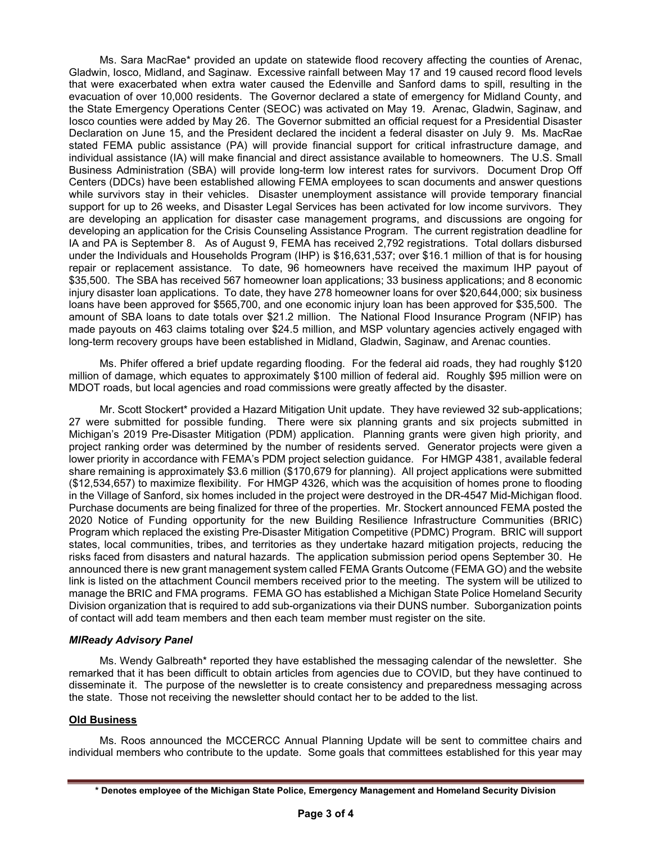Ms. Sara MacRae\* provided an update on statewide flood recovery affecting the counties of Arenac, Gladwin, Iosco, Midland, and Saginaw. Excessive rainfall between May 17 and 19 caused record flood levels that were exacerbated when extra water caused the Edenville and Sanford dams to spill, resulting in the evacuation of over 10,000 residents. The Governor declared a state of emergency for Midland County, and the State Emergency Operations Center (SEOC) was activated on May 19. Arenac, Gladwin, Saginaw, and Iosco counties were added by May 26. The Governor submitted an official request for a Presidential Disaster Declaration on June 15, and the President declared the incident a federal disaster on July 9. Ms. MacRae stated FEMA public assistance (PA) will provide financial support for critical infrastructure damage, and individual assistance (IA) will make financial and direct assistance available to homeowners. The U.S. Small Business Administration (SBA) will provide long-term low interest rates for survivors. Document Drop Off Centers (DDCs) have been established allowing FEMA employees to scan documents and answer questions while survivors stay in their vehicles. Disaster unemployment assistance will provide temporary financial support for up to 26 weeks, and Disaster Legal Services has been activated for low income survivors. They are developing an application for disaster case management programs, and discussions are ongoing for developing an application for the Crisis Counseling Assistance Program. The current registration deadline for IA and PA is September 8. As of August 9, FEMA has received 2,792 registrations. Total dollars disbursed under the Individuals and Households Program (IHP) is \$16,631,537; over \$16.1 million of that is for housing repair or replacement assistance. To date, 96 homeowners have received the maximum IHP payout of \$35,500. The SBA has received 567 homeowner loan applications; 33 business applications; and 8 economic injury disaster loan applications. To date, they have 278 homeowner loans for over \$20,644,000; six business loans have been approved for \$565,700, and one economic injury loan has been approved for \$35,500. The amount of SBA loans to date totals over \$21.2 million. The National Flood Insurance Program (NFIP) has made payouts on 463 claims totaling over \$24.5 million, and MSP voluntary agencies actively engaged with long-term recovery groups have been established in Midland, Gladwin, Saginaw, and Arenac counties.

Ms. Phifer offered a brief update regarding flooding. For the federal aid roads, they had roughly \$120 million of damage, which equates to approximately \$100 million of federal aid. Roughly \$95 million were on MDOT roads, but local agencies and road commissions were greatly affected by the disaster.

Mr. Scott Stockert\* provided a Hazard Mitigation Unit update. They have reviewed 32 sub-applications; 27 were submitted for possible funding. There were six planning grants and six projects submitted in Michigan's 2019 Pre-Disaster Mitigation (PDM) application. Planning grants were given high priority, and project ranking order was determined by the number of residents served. Generator projects were given a lower priority in accordance with FEMA's PDM project selection guidance. For HMGP 4381, available federal share remaining is approximately \$3.6 million (\$170,679 for planning). All project applications were submitted (\$12,534,657) to maximize flexibility. For HMGP 4326, which was the acquisition of homes prone to flooding in the Village of Sanford, six homes included in the project were destroyed in the DR-4547 Mid-Michigan flood. Purchase documents are being finalized for three of the properties. Mr. Stockert announced FEMA posted the 2020 Notice of Funding opportunity for the new Building Resilience Infrastructure Communities (BRIC) Program which replaced the existing Pre-Disaster Mitigation Competitive (PDMC) Program. BRIC will support states, local communities, tribes, and territories as they undertake hazard mitigation projects, reducing the risks faced from disasters and natural hazards. The application submission period opens September 30. He announced there is new grant management system called FEMA Grants Outcome (FEMA GO) and the website link is listed on the attachment Council members received prior to the meeting. The system will be utilized to manage the BRIC and FMA programs. FEMA GO has established a Michigan State Police Homeland Security Division organization that is required to add sub-organizations via their DUNS number. Suborganization points of contact will add team members and then each team member must register on the site.

#### MIReady Advisory Panel

Ms. Wendy Galbreath\* reported they have established the messaging calendar of the newsletter. She remarked that it has been difficult to obtain articles from agencies due to COVID, but they have continued to disseminate it. The purpose of the newsletter is to create consistency and preparedness messaging across the state. Those not receiving the newsletter should contact her to be added to the list.

#### Old Business

 Ms. Roos announced the MCCERCC Annual Planning Update will be sent to committee chairs and individual members who contribute to the update. Some goals that committees established for this year may